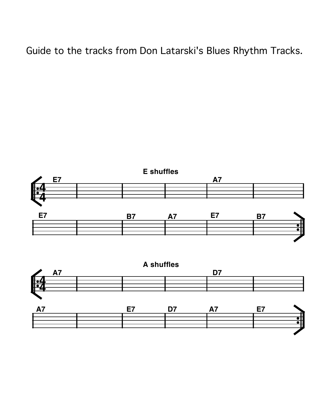Guide to the tracks from Don Latarski's Blues Rhythm Tracks.



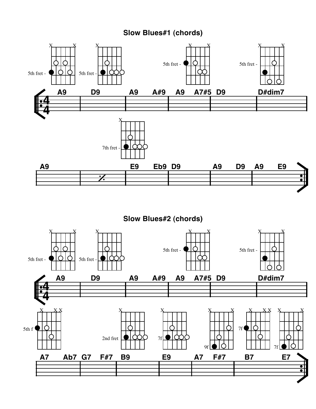## **Slow Blues#1 (chords)**

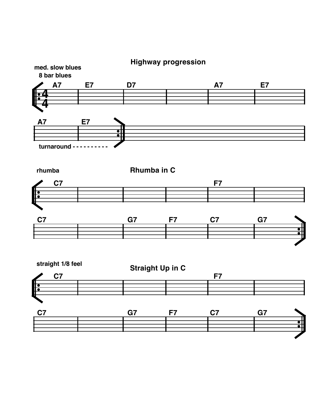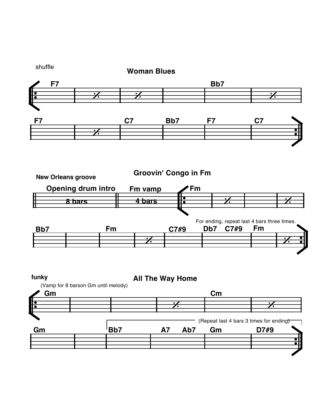



shuffle